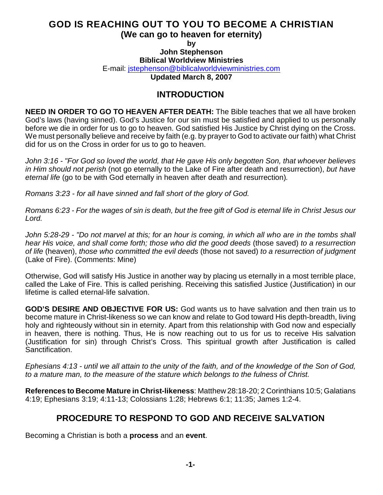### **GOD IS REACHING OUT TO YOU TO BECOME A CHRISTIAN (We can go to heaven for eternity)**

**by**

## **John Stephenson**

**Biblical Worldview Ministries**

E-mail: [jstephenson@biblicalworldviewministries.com](mailto:jstephenson@biblicalworldviewministries.com)

**Updated March 8, 2007**

# **INTRODUCTION**

**NEED IN ORDER TO GO TO HEAVEN AFTER DEATH:** The Bible teaches that we all have broken God's laws (having sinned). God's Justice for our sin must be satisfied and applied to us personally before we die in order for us to go to heaven. God satisfied His Justice by Christ dying on the Cross. We must personally believe and receive by faith (e.g. by prayer to God to activate our faith) what Christ did for us on the Cross in order for us to go to heaven.

*John 3:16 - "For God so loved the world, that He gave His only begotten Son, that whoever believes in Him should not perish* (not go eternally to the Lake of Fire after death and resurrection), *but have eternal life* (go to be with God eternally in heaven after death and resurrection)*.*

*Romans 3:23 - for all have sinned and fall short of the glory of God.*

*Romans 6:23 - For the wages of sin is death, but the free gift of God is eternal life in Christ Jesus our Lord.*

*John 5:28-29 - "Do not marvel at this; for an hour is coming, in which all who are in the tombs shall hear His voice, and shall come forth; those who did the good deeds* (those saved) *to a resurrection of life* (heaven), *those who committed the evil deeds* (those not saved) *to a resurrection of judgment* (Lake of Fire). (Comments: Mine)

Otherwise, God will satisfy His Justice in another way by placing us eternally in a most terrible place, called the Lake of Fire. This is called perishing. Receiving this satisfied Justice (Justification) in our lifetime is called eternal-life salvation.

**GOD'S DESIRE AND OBJECTIVE FOR US:** God wants us to have salvation and then train us to become mature in Christ-likeness so we can know and relate to God toward His depth-breadth, living holy and righteously without sin in eternity. Apart from this relationship with God now and especially in heaven, there is nothing. Thus, He is now reaching out to us for us to receive His salvation (Justification for sin) through Christ's Cross. This spiritual growth after Justification is called Sanctification.

*Ephesians 4:13 - until we all attain to the unity of the faith, and of the knowledge of the Son of God, to a mature man, to the measure of the stature which belongs to the fulness of Christ.*

**References to Become Mature in Christ-likeness**: Matthew 28:18-20; 2 Corinthians 10:5; Galatians 4:19; Ephesians 3:19; 4:11-13; Colossians 1:28; Hebrews 6:1; 11:35; James 1:2-4.

# **PROCEDURE TO RESPOND TO GOD AND RECEIVE SALVATION**

Becoming a Christian is both a **process** and an **event**.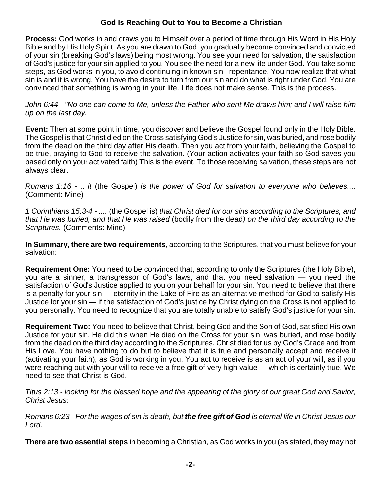**Process:** God works in and draws you to Himself over a period of time through His Word in His Holy Bible and by His Holy Spirit. As you are drawn to God, you gradually become convinced and convicted of your sin (breaking God's laws) being most wrong. You see your need for salvation, the satisfaction of God's justice for your sin applied to you. You see the need for a new life under God. You take some steps, as God works in you, to avoid continuing in known sin - repentance. You now realize that what sin is and it is wrong. You have the desire to turn from our sin and do what is right under God. You are convinced that something is wrong in your life. Life does not make sense. This is the process.

*John 6:44 - "No one can come to Me, unless the Father who sent Me draws him; and I will raise him up on the last day.*

**Event:** Then at some point in time, you discover and believe the Gospel found only in the Holy Bible. The Gospel is that Christ died on the Cross satisfying God's Justice for sin, was buried, and rose bodily from the dead on the third day after His death. Then you act from your faith, believing the Gospel to be true, praying to God to receive the salvation. (Your action activates your faith so God saves you based only on your activated faith) This is the event. To those receiving salvation, these steps are not always clear.

*Romans 1:16 - ,. it* (the Gospel) *is the power of God for salvation to everyone who believes..,.* (Comment: Mine)

*1 Corinthians 15:3-4 - ....* (the Gospel is) *that Christ died for our sins according to the Scriptures, and that He was buried, and that He was raised* (bodily from the dead*) on the third day according to the Scriptures.* (Comments: Mine)

**In Summary, there are two requirements,** according to the Scriptures, that you must believe for your salvation:

**Requirement One:** You need to be convinced that, according to only the Scriptures (the Holy Bible), you are a sinner, a transgressor of God's laws, and that you need salvation — you need the satisfaction of God's Justice applied to you on your behalf for your sin. You need to believe that there is a penalty for your sin — eternity in the Lake of Fire as an alternative method for God to satisfy His Justice for your sin — if the satisfaction of God's justice by Christ dying on the Cross is not applied to you personally. You need to recognize that you are totally unable to satisfy God's justice for your sin.

**Requirement Two:** You need to believe that Christ, being God and the Son of God, satisfied His own Justice for your sin. He did this when He died on the Cross for your sin, was buried, and rose bodily from the dead on the third day according to the Scriptures. Christ died for us by God's Grace and from His Love. You have nothing to do but to believe that it is true and personally accept and receive it (activating your faith), as God is working in you. You act to receive is as an act of your will, as if you were reaching out with your will to receive a free gift of very high value — which is certainly true. We need to see that Christ is God.

*Titus 2:13 - looking for the blessed hope and the appearing of the glory of our great God and Savior, Christ Jesus;*

*Romans 6:23 - For the wages of sin is death, but the free gift of God is eternal life in Christ Jesus our Lord.*

**There are two essential steps** in becoming a Christian, as God works in you (as stated, they may not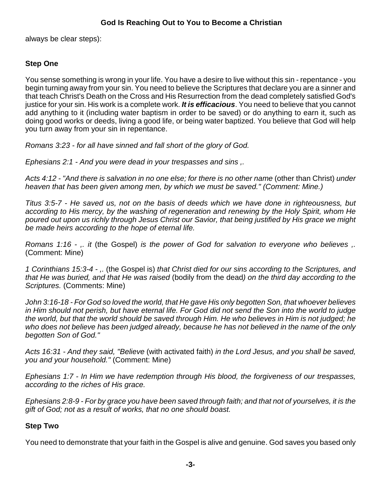always be clear steps):

### **Step One**

You sense something is wrong in your life. You have a desire to live without this sin - repentance - you begin turning away from your sin. You need to believe the Scriptures that declare you are a sinner and that teach Christ's Death on the Cross and His Resurrection from the dead completely satisfied God's justice for your sin. His work is a complete work. *It is efficacious*. You need to believe that you cannot add anything to it (including water baptism in order to be saved) or do anything to earn it, such as doing good works or deeds, living a good life, or being water baptized. You believe that God will help you turn away from your sin in repentance.

*Romans 3:23 - for all have sinned and fall short of the glory of God.*

*Ephesians 2:1 - And you were dead in your trespasses and sins ,.*

*Acts 4:12 - "And there is salvation in no one else; for there is no other name* (other than Christ) *under heaven that has been given among men, by which we must be saved." (Comment: Mine.)*

*Titus 3:5-7 - He saved us, not on the basis of deeds which we have done in righteousness, but according to His mercy, by the washing of regeneration and renewing by the Holy Spirit, whom He poured out upon us richly through Jesus Christ our Savior, that being justified by His grace we might be made heirs according to the hope of eternal life.*

*Romans 1:16 - ,. it* (the Gospel) *is the power of God for salvation to everyone who believes ,.* (Comment: Mine)

*1 Corinthians 15:3-4 - ,.* (the Gospel is) *that Christ died for our sins according to the Scriptures, and that He was buried, and that He was raised* (bodily from the dead*) on the third day according to the Scriptures.* (Comments: Mine)

*John 3:16-18 - For God so loved the world, that He gave His only begotten Son, that whoever believes in Him should not perish, but have eternal life. For God did not send the Son into the world to judge the world, but that the world should be saved through Him. He who believes in Him is not judged; he who does not believe has been judged already, because he has not believed in the name of the only begotten Son of God."* 

*Acts 16:31 - And they said, "Believe* (with activated faith) *in the Lord Jesus, and you shall be saved, you and your household."* (Comment: Mine)

*Ephesians 1:7 - In Him we have redemption through His blood, the forgiveness of our trespasses, according to the riches of His grace.*

*Ephesians 2:8-9 - For by grace you have been saved through faith; and that not of yourselves, it is the gift of God; not as a result of works, that no one should boast.*

#### **Step Two**

You need to demonstrate that your faith in the Gospel is alive and genuine. God saves you based only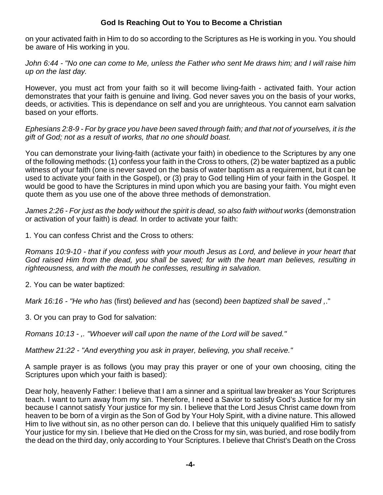on your activated faith in Him to do so according to the Scriptures as He is working in you. You should be aware of His working in you.

*John 6:44 - "No one can come to Me, unless the Father who sent Me draws him; and I will raise him up on the last day.*

However, you must act from your faith so it will become living-faith - activated faith. Your action demonstrates that your faith is genuine and living. God never saves you on the basis of your works, deeds, or activities. This is dependance on self and you are unrighteous. You cannot earn salvation based on your efforts.

*Ephesians 2:8-9 - For by grace you have been saved through faith; and that not of yourselves, it is the gift of God; not as a result of works, that no one should boast.*

You can demonstrate your living-faith (activate your faith) in obedience to the Scriptures by any one of the following methods: (1) confess your faith in the Cross to others, (2) be water baptized as a public witness of your faith (one is never saved on the basis of water baptism as a requirement, but it can be used to activate your faith in the Gospel), or (3) pray to God telling Him of your faith in the Gospel. It would be good to have the Scriptures in mind upon which you are basing your faith. You might even quote them as you use one of the above three methods of demonstration.

James 2:26 - For just as the body without the spirit is dead, so also faith without works (demonstration or activation of your faith) is *dead.* In order to activate your faith:

1. You can confess Christ and the Cross to others:

*Romans 10:9-10 - that if you confess with your mouth Jesus as Lord, and believe in your heart that God raised Him from the dead, you shall be saved; for with the heart man believes, resulting in righteousness, and with the mouth he confesses, resulting in salvation.*

2. You can be water baptized:

*Mark 16:16 - "He who has* (first) *believed and has* (second) *been baptized shall be saved ,*."

3. Or you can pray to God for salvation:

*Romans 10:13 - ,. "Whoever will call upon the name of the Lord will be saved."*

*Matthew 21:22 - "And everything you ask in prayer, believing, you shall receive."*

A sample prayer is as follows (you may pray this prayer or one of your own choosing, citing the Scriptures upon which your faith is based):

Dear holy, heavenly Father: I believe that I am a sinner and a spiritual law breaker as Your Scriptures teach. I want to turn away from my sin. Therefore, I need a Savior to satisfy God's Justice for my sin because I cannot satisfy Your justice for my sin. I believe that the Lord Jesus Christ came down from heaven to be born of a virgin as the Son of God by Your Holy Spirit, with a divine nature. This allowed Him to live without sin, as no other person can do. I believe that this uniquely qualified Him to satisfy Your justice for my sin. I believe that He died on the Cross for my sin, was buried, and rose bodily from the dead on the third day, only according to Your Scriptures. I believe that Christ's Death on the Cross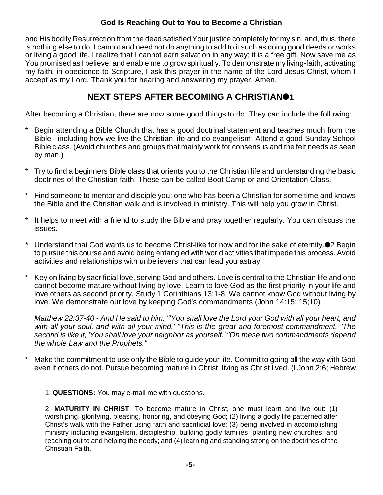and His bodily Resurrection from the dead satisfied Your justice completely for my sin, and, thus, there is nothing else to do. I cannot and need not do anything to add to it such as doing good deeds or works or living a good life. I realize that I cannot earn salvation in any way; it is a free gift. Now save me as You promised as I believe, and enable me to grow spiritually. To demonstrate my living-faith, activating my faith, in obedience to Scripture, I ask this prayer in the name of the Lord Jesus Christ, whom I accept as my Lord. Thank you for hearing and answering my prayer. Amen.

# **NEXT STEPS AFTER BECOMING A CHRISTIAN1**

After becoming a Christian, there are now some good things to do. They can include the following:

- Begin attending a Bible Church that has a good doctrinal statement and teaches much from the Bible - including how we live the Christian life and do evangelism; Attend a good Sunday School Bible class. (Avoid churches and groups that mainly work for consensus and the felt needs as seen by man.)
- Try to find a beginners Bible class that orients you to the Christian life and understanding the basic doctrines of the Christian faith. These can be called Boot Camp or and Orientation Class.
- Find someone to mentor and disciple you; one who has been a Christian for some time and knows the Bible and the Christian walk and is involved in ministry. This will help you grow in Christ.
- \* It helps to meet with a friend to study the Bible and pray together regularly. You can discuss the issues.
- Understand that God wants us to become Christ-like for now and for the sake of eternity.<sup>1</sup> 2 Begin to pursue this course and avoid being entangled with world activities that impede this process. Avoid activities and relationships with unbelievers that can lead you astray.
- Key on living by sacrificial love, serving God and others. Love is central to the Christian life and one cannot become mature without living by love. Learn to love God as the first priority in your life and love others as second priority. Study 1 Corinthians 13:1-8. We cannot know God without living by love. We demonstrate our love by keeping God's commandments (John 14:15; 15;10)

*Matthew 22:37-40 - And He said to him, "'You shall love the Lord your God with all your heart, and with all your soul, and with all your mind.' "This is the great and foremost commandment. "The second is like it, 'You shall love your neighbor as yourself.' "On these two commandments depend the whole Law and the Prophets."*

Make the commitment to use only the Bible to guide your life. Commit to going all the way with God even if others do not. Pursue becoming mature in Christ, living as Christ lived. (I John 2:6; Hebrew

1. **QUESTIONS:** You may e-mail me with questions.

2. **MATURITY IN CHRIST**: To become mature in Christ, one must learn and live out: (1) worshiping, glorifying, pleasing, honoring, and obeying God; (2) living a godly life patterned after Christ's walk with the Father using faith and sacrificial love; (3) being involved in accomplishing ministry including evangelism, discipleship, building godly families, planting new churches, and reaching out to and helping the needy; and (4) learning and standing strong on the doctrines of the Christian Faith.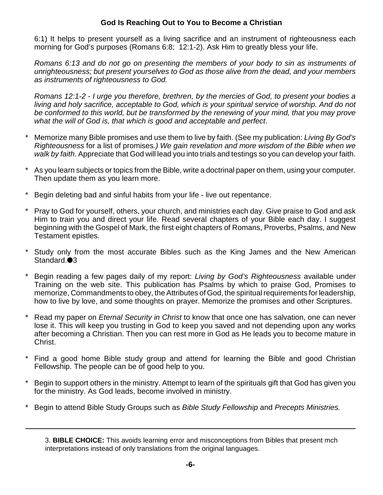6:1) It helps to present yourself as a living sacrifice and an instrument of righteousness each morning for God's purposes (Romans 6:8; 12:1-2). Ask Him to greatly bless your life.

*Romans 6:13 and do not go on presenting the members of your body to sin as instruments of unrighteousness; but present yourselves to God as those alive from the dead, and your members as instruments of righteousness to God.*

*Romans 12:1-2 - I urge you therefore, brethren, by the mercies of God, to present your bodies a living and holy sacrifice, acceptable to God, which is your spiritual service of worship. And do not be conformed to this world, but be transformed by the renewing of your mind, that you may prove what the will of God is, that which is good and acceptable and perfect*.

- \* Memorize many Bible promises and use them to live by faith. (See my publication: *Living By God's Righteousness* for a list of promises*.) We gain revelation and more wisdom of the Bible when we walk by faith.* Appreciate that God will lead you into trials and testings so you can develop your faith.
- As you learn subjects or topics from the Bible, write a doctrinal paper on them, using your computer. Then update them as you learn more.
- Begin deleting bad and sinful habits from your life live out repentance.
- Pray to God for yourself, others, your church, and ministries each day. Give praise to God and ask Him to train you and direct your life. Read several chapters of your Bible each day. I suggest beginning with the Gospel of Mark, the first eight chapters of Romans, Proverbs, Psalms, and New Testament epistles.
- Study only from the most accurate Bibles such as the King James and the New American Standard.<sup>3</sup>
- \* Begin reading a few pages daily of my report: *Living by God's Righteousness* available under Training on the web site. This publication has Psalms by which to praise God, Promises to memorize, Commandments to obey, the Attributes of God, the spiritual requirements for leadership, how to live by love, and some thoughts on prayer. Memorize the promises and other Scriptures.
- \* Read my paper on *Eternal Security in Christ* to know that once one has salvation, one can never lose it. This will keep you trusting in God to keep you saved and not depending upon any works after becoming a Christian. Then you can rest more in God as He leads you to become mature in Christ.
- \* Find a good home Bible study group and attend for learning the Bible and good Christian Fellowship. The people can be of good help to you.
- \* Begin to support others in the ministry. Attempt to learn of the spirituals gift that God has given you for the ministry. As God leads, become involved in ministry.
- \* Begin to attend Bible Study Groups such as *Bible Study Fellowship* and *Precepts Ministries.*

<sup>3.</sup> **BIBLE CHOICE:** This avoids learning error and misconceptions from Bibles that present mch interpretations instead of only translations from the original languages.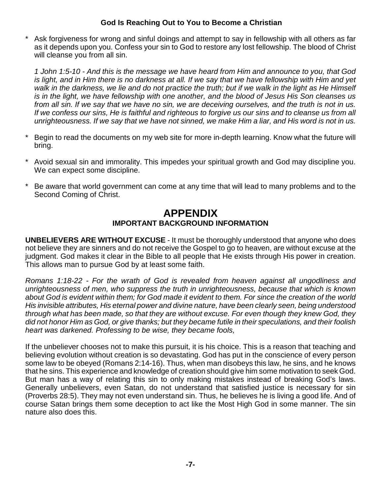Ask forgiveness for wrong and sinful doings and attempt to say in fellowship with all others as far as it depends upon you. Confess your sin to God to restore any lost fellowship. The blood of Christ will cleanse you from all sin.

*1 John 1:5-10 - And this is the message we have heard from Him and announce to you, that God is light, and in Him there is no darkness at all. If we say that we have fellowship with Him and yet walk in the darkness, we lie and do not practice the truth; but if we walk in the light as He Himself is in the light, we have fellowship with one another, and the blood of Jesus His Son cleanses us from all sin. If we say that we have no sin, we are deceiving ourselves, and the truth is not in us. If we confess our sins, He is faithful and righteous to forgive us our sins and to cleanse us from all unrighteousness. If we say that we have not sinned, we make Him a liar, and His word is not in us.*

- \* Begin to read the documents on my web site for more in-depth learning. Know what the future will bring.
- Avoid sexual sin and immorality. This impedes your spiritual growth and God may discipline you. We can expect some discipline.
- \* Be aware that world government can come at any time that will lead to many problems and to the Second Coming of Christ.

# **APPENDIX IMPORTANT BACKGROUND INFORMATION**

**UNBELIEVERS ARE WITHOUT EXCUSE** - It must be thoroughly understood that anyone who does not believe they are sinners and do not receive the Gospel to go to heaven, are without excuse at the judgment. God makes it clear in the Bible to all people that He exists through His power in creation. This allows man to pursue God by at least some faith.

*Romans 1:18-22 - For the wrath of God is revealed from heaven against all ungodliness and unrighteousness of men, who suppress the truth in unrighteousness, because that which is known about God is evident within them; for God made it evident to them. For since the creation of the world His invisible attributes, His eternal power and divine nature, have been clearly seen, being understood through what has been made, so that they are without excuse. For even though they knew God, they did not honor Him as God, or give thanks; but they became futile in their speculations, and their foolish heart was darkened. Professing to be wise, they became fools,*

If the unbeliever chooses not to make this pursuit, it is his choice. This is a reason that teaching and believing evolution without creation is so devastating. God has put in the conscience of every person some law to be obeyed (Romans 2:14-16). Thus, when man disobeys this law, he sins, and he knows that he sins. This experience and knowledge of creation should give him some motivation to seek God. But man has a way of relating this sin to only making mistakes instead of breaking God's laws. Generally unbelievers, even Satan, do not understand that satisfied justice is necessary for sin (Proverbs 28:5). They may not even understand sin. Thus, he believes he is living a good life. And of course Satan brings them some deception to act like the Most High God in some manner. The sin nature also does this.